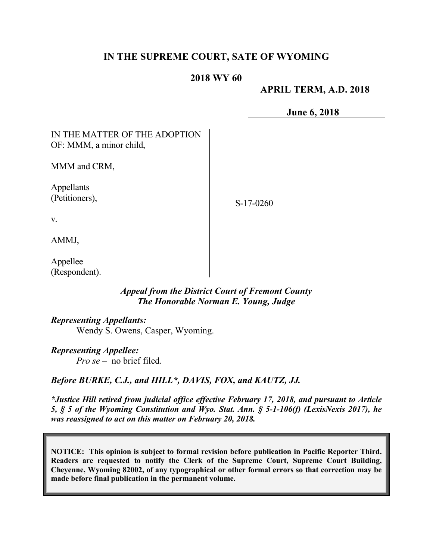# **IN THE SUPREME COURT, SATE OF WYOMING**

### **2018 WY 60**

### **APRIL TERM, A.D. 2018**

**June 6, 2018**

| IN THE MATTER OF THE ADOPTION<br>OF: MMM, a minor child, |             |
|----------------------------------------------------------|-------------|
| MMM and CRM,                                             |             |
| Appellants<br>(Petitioners),                             | $S-17-0260$ |
| V.                                                       |             |
| AMMJ,                                                    |             |

Appellee (Respondent).

### *Appeal from the District Court of Fremont County The Honorable Norman E. Young, Judge*

### *Representing Appellants:*

Wendy S. Owens, Casper, Wyoming.

#### *Representing Appellee:*

*Pro se* – no brief filed.

### *Before BURKE, C.J., and HILL\*, DAVIS, FOX, and KAUTZ, JJ.*

*\*Justice Hill retired from judicial office effective February 17, 2018, and pursuant to Article 5, § 5 of the Wyoming Constitution and Wyo. Stat. Ann. § 5-1-106(f) (LexisNexis 2017), he was reassigned to act on this matter on February 20, 2018.*

**NOTICE: This opinion is subject to formal revision before publication in Pacific Reporter Third. Readers are requested to notify the Clerk of the Supreme Court, Supreme Court Building, Cheyenne, Wyoming 82002, of any typographical or other formal errors so that correction may be made before final publication in the permanent volume.**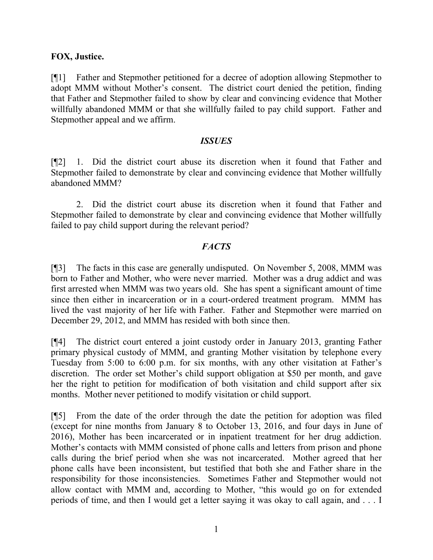### **FOX, Justice.**

[¶1] Father and Stepmother petitioned for a decree of adoption allowing Stepmother to adopt MMM without Mother's consent. The district court denied the petition, finding that Father and Stepmother failed to show by clear and convincing evidence that Mother willfully abandoned MMM or that she willfully failed to pay child support. Father and Stepmother appeal and we affirm.

#### *ISSUES*

[¶2] 1. Did the district court abuse its discretion when it found that Father and Stepmother failed to demonstrate by clear and convincing evidence that Mother willfully abandoned MMM?

2. Did the district court abuse its discretion when it found that Father and Stepmother failed to demonstrate by clear and convincing evidence that Mother willfully failed to pay child support during the relevant period?

### *FACTS*

[¶3] The facts in this case are generally undisputed. On November 5, 2008, MMM was born to Father and Mother, who were never married. Mother was a drug addict and was first arrested when MMM was two years old. She has spent a significant amount of time since then either in incarceration or in a court-ordered treatment program. MMM has lived the vast majority of her life with Father. Father and Stepmother were married on December 29, 2012, and MMM has resided with both since then.

[¶4] The district court entered a joint custody order in January 2013, granting Father primary physical custody of MMM, and granting Mother visitation by telephone every Tuesday from 5:00 to 6:00 p.m. for six months, with any other visitation at Father's discretion. The order set Mother's child support obligation at \$50 per month, and gave her the right to petition for modification of both visitation and child support after six months. Mother never petitioned to modify visitation or child support.

[¶5] From the date of the order through the date the petition for adoption was filed (except for nine months from January 8 to October 13, 2016, and four days in June of 2016), Mother has been incarcerated or in inpatient treatment for her drug addiction. Mother's contacts with MMM consisted of phone calls and letters from prison and phone calls during the brief period when she was not incarcerated. Mother agreed that her phone calls have been inconsistent, but testified that both she and Father share in the responsibility for those inconsistencies. Sometimes Father and Stepmother would not allow contact with MMM and, according to Mother, "this would go on for extended periods of time, and then I would get a letter saying it was okay to call again, and . . . I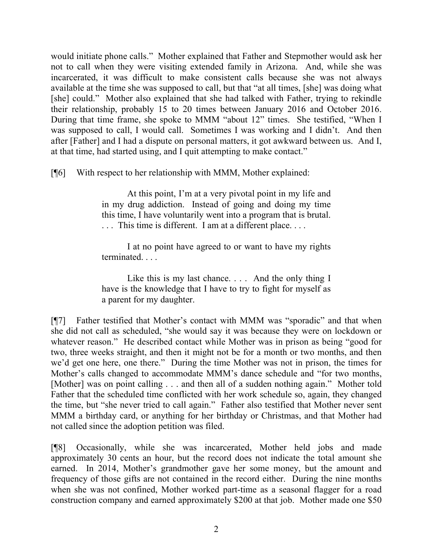would initiate phone calls." Mother explained that Father and Stepmother would ask her not to call when they were visiting extended family in Arizona. And, while she was incarcerated, it was difficult to make consistent calls because she was not always available at the time she was supposed to call, but that "at all times, [she] was doing what [she] could." Mother also explained that she had talked with Father, trying to rekindle their relationship, probably 15 to 20 times between January 2016 and October 2016. During that time frame, she spoke to MMM "about 12" times. She testified, "When I was supposed to call, I would call. Sometimes I was working and I didn't. And then after [Father] and I had a dispute on personal matters, it got awkward between us. And I, at that time, had started using, and I quit attempting to make contact."

[¶6] With respect to her relationship with MMM, Mother explained:

At this point, I'm at a very pivotal point in my life and in my drug addiction. Instead of going and doing my time this time, I have voluntarily went into a program that is brutal. . . . This time is different. I am at a different place. . . .

I at no point have agreed to or want to have my rights terminated. . . .

Like this is my last chance. . . . And the only thing I have is the knowledge that I have to try to fight for myself as a parent for my daughter.

[¶7] Father testified that Mother's contact with MMM was "sporadic" and that when she did not call as scheduled, "she would say it was because they were on lockdown or whatever reason." He described contact while Mother was in prison as being "good for two, three weeks straight, and then it might not be for a month or two months, and then we'd get one here, one there." During the time Mother was not in prison, the times for Mother's calls changed to accommodate MMM's dance schedule and "for two months, [Mother] was on point calling . . . and then all of a sudden nothing again." Mother told Father that the scheduled time conflicted with her work schedule so, again, they changed the time, but "she never tried to call again." Father also testified that Mother never sent MMM a birthday card, or anything for her birthday or Christmas, and that Mother had not called since the adoption petition was filed.

[¶8] Occasionally, while she was incarcerated, Mother held jobs and made approximately 30 cents an hour, but the record does not indicate the total amount she earned. In 2014, Mother's grandmother gave her some money, but the amount and frequency of those gifts are not contained in the record either. During the nine months when she was not confined, Mother worked part-time as a seasonal flagger for a road construction company and earned approximately \$200 at that job. Mother made one \$50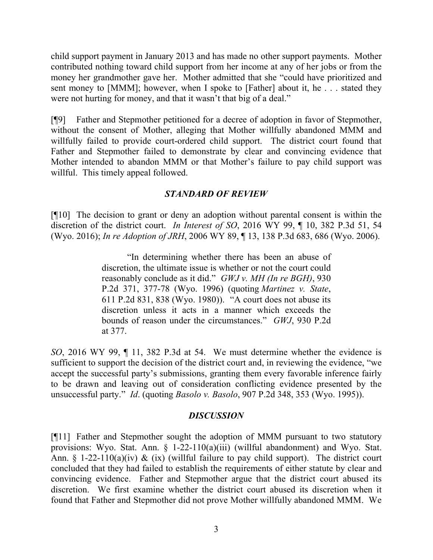child support payment in January 2013 and has made no other support payments. Mother contributed nothing toward child support from her income at any of her jobs or from the money her grandmother gave her. Mother admitted that she "could have prioritized and sent money to [MMM]; however, when I spoke to [Father] about it, he . . . stated they were not hurting for money, and that it wasn't that big of a deal."

[¶9] Father and Stepmother petitioned for a decree of adoption in favor of Stepmother, without the consent of Mother, alleging that Mother willfully abandoned MMM and willfully failed to provide court-ordered child support. The district court found that Father and Stepmother failed to demonstrate by clear and convincing evidence that Mother intended to abandon MMM or that Mother's failure to pay child support was willful. This timely appeal followed.

# *STANDARD OF REVIEW*

[¶10] The decision to grant or deny an adoption without parental consent is within the discretion of the district court. *In Interest of SO*, 2016 WY 99, ¶ 10, 382 P.3d 51, 54 (Wyo. 2016); *In re Adoption of JRH*, 2006 WY 89, ¶ 13, 138 P.3d 683, 686 (Wyo. 2006).

> "In determining whether there has been an abuse of discretion, the ultimate issue is whether or not the court could reasonably conclude as it did." *GWJ v. MH (In re BGH)*, 930 P.2d 371, 377-78 (Wyo. 1996) (quoting *Martinez v. State*, 611 P.2d 831, 838 (Wyo. 1980)). "A court does not abuse its discretion unless it acts in a manner which exceeds the bounds of reason under the circumstances." *GWJ*, 930 P.2d at 377.

*SO*, 2016 WY 99, ¶ 11, 382 P.3d at 54. We must determine whether the evidence is sufficient to support the decision of the district court and, in reviewing the evidence, "we accept the successful party's submissions, granting them every favorable inference fairly to be drawn and leaving out of consideration conflicting evidence presented by the unsuccessful party." *Id*. (quoting *Basolo v. Basolo*, 907 P.2d 348, 353 (Wyo. 1995)).

# *DISCUSSION*

[¶11] Father and Stepmother sought the adoption of MMM pursuant to two statutory provisions: Wyo. Stat. Ann. § 1-22-110(a)(iii) (willful abandonment) and Wyo. Stat. Ann. § 1-22-110(a)(iv) & (ix) (willful failure to pay child support). The district court concluded that they had failed to establish the requirements of either statute by clear and convincing evidence. Father and Stepmother argue that the district court abused its discretion. We first examine whether the district court abused its discretion when it found that Father and Stepmother did not prove Mother willfully abandoned MMM. We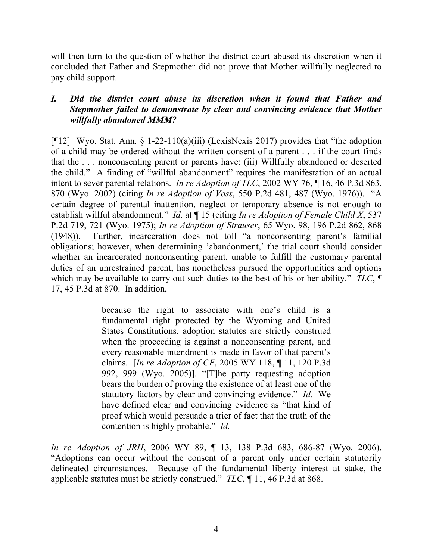will then turn to the question of whether the district court abused its discretion when it concluded that Father and Stepmother did not prove that Mother willfully neglected to pay child support.

# *I. Did the district court abuse its discretion when it found that Father and Stepmother failed to demonstrate by clear and convincing evidence that Mother willfully abandoned MMM?*

[ $[12]$  Wyo. Stat. Ann. § 1-22-110(a)(iii) (LexisNexis 2017) provides that "the adoption of a child may be ordered without the written consent of a parent . . . if the court finds that the . . . nonconsenting parent or parents have: (iii) Willfully abandoned or deserted the child." A finding of "willful abandonment" requires the manifestation of an actual intent to sever parental relations. *In re Adoption of TLC*, 2002 WY 76, ¶ 16, 46 P.3d 863, 870 (Wyo. 2002) (citing *In re Adoption of Voss*, 550 P.2d 481, 487 (Wyo. 1976)). "A certain degree of parental inattention, neglect or temporary absence is not enough to establish willful abandonment." *Id*. at ¶ 15 (citing *In re Adoption of Female Child X*, 537 P.2d 719, 721 (Wyo. 1975); *In re Adoption of Strauser*, 65 Wyo. 98, 196 P.2d 862, 868 (1948)). Further, incarceration does not toll "a nonconsenting parent's familial obligations; however, when determining 'abandonment,' the trial court should consider whether an incarcerated nonconsenting parent, unable to fulfill the customary parental duties of an unrestrained parent, has nonetheless pursued the opportunities and options which may be available to carry out such duties to the best of his or her ability." *TLC*, ¶ 17, 45 P.3d at 870. In addition,

> because the right to associate with one's child is a fundamental right protected by the Wyoming and United States Constitutions, adoption statutes are strictly construed when the proceeding is against a nonconsenting parent, and every reasonable intendment is made in favor of that parent's claims. [*In re Adoption of CF*, 2005 WY 118, ¶ 11, 120 P.3d 992, 999 (Wyo. 2005)]. "[T]he party requesting adoption bears the burden of proving the existence of at least one of the statutory factors by clear and convincing evidence." *Id.* We have defined clear and convincing evidence as "that kind of proof which would persuade a trier of fact that the truth of the contention is highly probable." *Id.*

*In re Adoption of JRH*, 2006 WY 89, ¶ 13, 138 P.3d 683, 686-87 (Wyo. 2006). "Adoptions can occur without the consent of a parent only under certain statutorily delineated circumstances. Because of the fundamental liberty interest at stake, the applicable statutes must be strictly construed." *TLC*, ¶ 11, 46 P.3d at 868.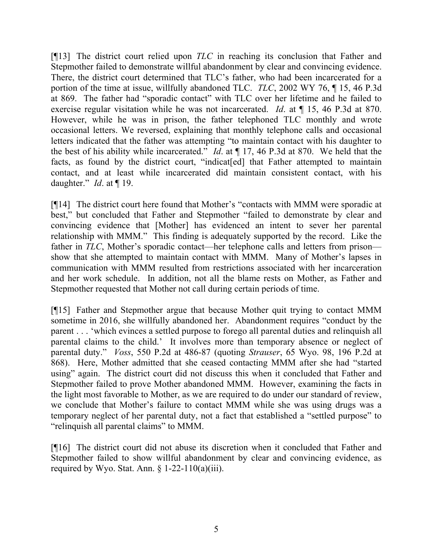[¶13] The district court relied upon *TLC* in reaching its conclusion that Father and Stepmother failed to demonstrate willful abandonment by clear and convincing evidence. There, the district court determined that TLC's father, who had been incarcerated for a portion of the time at issue, willfully abandoned TLC. *TLC*, 2002 WY 76, ¶ 15, 46 P.3d at 869. The father had "sporadic contact" with TLC over her lifetime and he failed to exercise regular visitation while he was not incarcerated. *Id*. at ¶ 15, 46 P.3d at 870. However, while he was in prison, the father telephoned TLC monthly and wrote occasional letters. We reversed, explaining that monthly telephone calls and occasional letters indicated that the father was attempting "to maintain contact with his daughter to the best of his ability while incarcerated." *Id*. at ¶ 17, 46 P.3d at 870. We held that the facts, as found by the district court, "indicatered that Father attempted to maintain contact, and at least while incarcerated did maintain consistent contact, with his daughter." *Id*. at ¶ 19.

[¶14] The district court here found that Mother's "contacts with MMM were sporadic at best," but concluded that Father and Stepmother "failed to demonstrate by clear and convincing evidence that [Mother] has evidenced an intent to sever her parental relationship with MMM." This finding is adequately supported by the record. Like the father in *TLC*, Mother's sporadic contact—her telephone calls and letters from prison show that she attempted to maintain contact with MMM. Many of Mother's lapses in communication with MMM resulted from restrictions associated with her incarceration and her work schedule. In addition, not all the blame rests on Mother, as Father and Stepmother requested that Mother not call during certain periods of time.

[¶15] Father and Stepmother argue that because Mother quit trying to contact MMM sometime in 2016, she willfully abandoned her. Abandonment requires "conduct by the parent . . . 'which evinces a settled purpose to forego all parental duties and relinquish all parental claims to the child.' It involves more than temporary absence or neglect of parental duty." *Voss*, 550 P.2d at 486-87 (quoting *Strauser*, 65 Wyo. 98, 196 P.2d at 868). Here, Mother admitted that she ceased contacting MMM after she had "started using" again. The district court did not discuss this when it concluded that Father and Stepmother failed to prove Mother abandoned MMM. However, examining the facts in the light most favorable to Mother, as we are required to do under our standard of review, we conclude that Mother's failure to contact MMM while she was using drugs was a temporary neglect of her parental duty, not a fact that established a "settled purpose" to "relinquish all parental claims" to MMM.

[¶16] The district court did not abuse its discretion when it concluded that Father and Stepmother failed to show willful abandonment by clear and convincing evidence, as required by Wyo. Stat. Ann.  $\S$  1-22-110(a)(iii).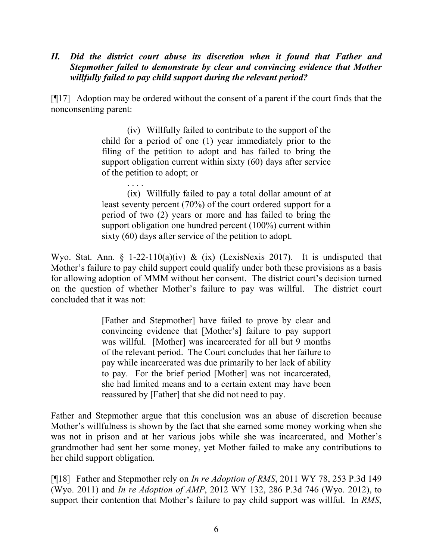# *II. Did the district court abuse its discretion when it found that Father and Stepmother failed to demonstrate by clear and convincing evidence that Mother willfully failed to pay child support during the relevant period?*

[¶17] Adoption may be ordered without the consent of a parent if the court finds that the nonconsenting parent:

> (iv) Willfully failed to contribute to the support of the child for a period of one (1) year immediately prior to the filing of the petition to adopt and has failed to bring the support obligation current within sixty (60) days after service of the petition to adopt; or

> . . . . (ix) Willfully failed to pay a total dollar amount of at least seventy percent (70%) of the court ordered support for a period of two (2) years or more and has failed to bring the support obligation one hundred percent (100%) current within sixty (60) days after service of the petition to adopt.

Wyo. Stat. Ann. § 1-22-110(a)(iv) & (ix) (LexisNexis 2017). It is undisputed that Mother's failure to pay child support could qualify under both these provisions as a basis for allowing adoption of MMM without her consent. The district court's decision turned on the question of whether Mother's failure to pay was willful. The district court concluded that it was not:

> [Father and Stepmother] have failed to prove by clear and convincing evidence that [Mother's] failure to pay support was willful. [Mother] was incarcerated for all but 9 months of the relevant period. The Court concludes that her failure to pay while incarcerated was due primarily to her lack of ability to pay. For the brief period [Mother] was not incarcerated, she had limited means and to a certain extent may have been reassured by [Father] that she did not need to pay.

Father and Stepmother argue that this conclusion was an abuse of discretion because Mother's willfulness is shown by the fact that she earned some money working when she was not in prison and at her various jobs while she was incarcerated, and Mother's grandmother had sent her some money, yet Mother failed to make any contributions to her child support obligation.

[¶18] Father and Stepmother rely on *In re Adoption of RMS*, 2011 WY 78, 253 P.3d 149 (Wyo. 2011) and *In re Adoption of AMP*, 2012 WY 132, 286 P.3d 746 (Wyo. 2012), to support their contention that Mother's failure to pay child support was willful. In *RMS*,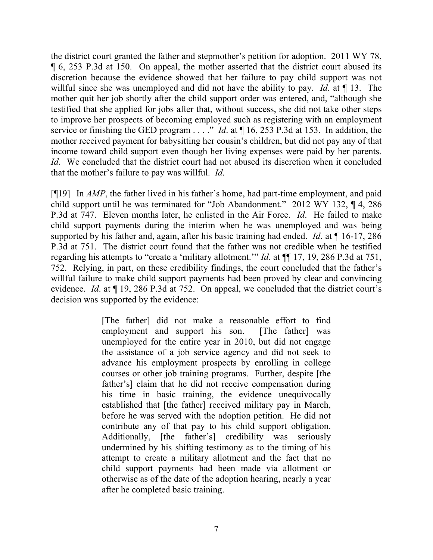the district court granted the father and stepmother's petition for adoption. 2011 WY 78, ¶ 6, 253 P.3d at 150. On appeal, the mother asserted that the district court abused its discretion because the evidence showed that her failure to pay child support was not willful since she was unemployed and did not have the ability to pay. *Id*. at ¶ 13. The mother quit her job shortly after the child support order was entered, and, "although she testified that she applied for jobs after that, without success, she did not take other steps to improve her prospects of becoming employed such as registering with an employment service or finishing the GED program . . . ." *Id*. at ¶ 16, 253 P.3d at 153. In addition, the mother received payment for babysitting her cousin's children, but did not pay any of that income toward child support even though her living expenses were paid by her parents. *Id.* We concluded that the district court had not abused its discretion when it concluded that the mother's failure to pay was willful. *Id*.

[¶19] In *AMP*, the father lived in his father's home, had part-time employment, and paid child support until he was terminated for "Job Abandonment." 2012 WY 132, ¶ 4, 286 P.3d at 747. Eleven months later, he enlisted in the Air Force. *Id*. He failed to make child support payments during the interim when he was unemployed and was being supported by his father and, again, after his basic training had ended. *Id*. at ¶ 16-17, 286 P.3d at 751. The district court found that the father was not credible when he testified regarding his attempts to "create a 'military allotment.'" *Id*. at ¶¶ 17, 19, 286 P.3d at 751, 752. Relying, in part, on these credibility findings, the court concluded that the father's willful failure to make child support payments had been proved by clear and convincing evidence. *Id*. at ¶ 19, 286 P.3d at 752. On appeal, we concluded that the district court's decision was supported by the evidence:

> [The father] did not make a reasonable effort to find employment and support his son. [The father] was unemployed for the entire year in 2010, but did not engage the assistance of a job service agency and did not seek to advance his employment prospects by enrolling in college courses or other job training programs. Further, despite [the father's] claim that he did not receive compensation during his time in basic training, the evidence unequivocally established that [the father] received military pay in March, before he was served with the adoption petition. He did not contribute any of that pay to his child support obligation. Additionally, [the father's] credibility was seriously undermined by his shifting testimony as to the timing of his attempt to create a military allotment and the fact that no child support payments had been made via allotment or otherwise as of the date of the adoption hearing, nearly a year after he completed basic training.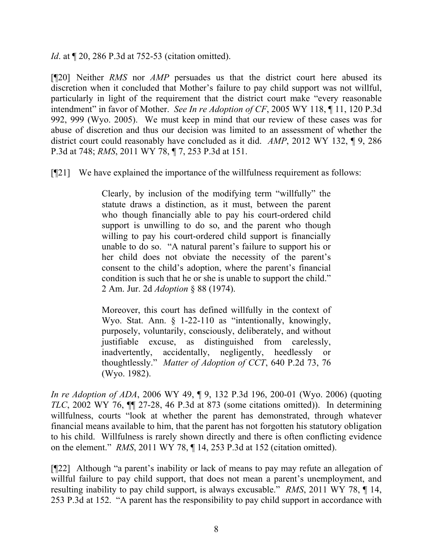*Id.* at  $\llbracket 20, 286$  P.3d at 752-53 (citation omitted).

[¶20] Neither *RMS* nor *AMP* persuades us that the district court here abused its discretion when it concluded that Mother's failure to pay child support was not willful, particularly in light of the requirement that the district court make "every reasonable intendment" in favor of Mother. *See In re Adoption of CF*, 2005 WY 118, ¶ 11, 120 P.3d 992, 999 (Wyo. 2005). We must keep in mind that our review of these cases was for abuse of discretion and thus our decision was limited to an assessment of whether the district court could reasonably have concluded as it did. *AMP*, 2012 WY 132, ¶ 9, 286 P.3d at 748; *RMS*, 2011 WY 78, ¶ 7, 253 P.3d at 151.

[¶21] We have explained the importance of the willfulness requirement as follows:

Clearly, by inclusion of the modifying term "willfully" the statute draws a distinction, as it must, between the parent who though financially able to pay his court-ordered child support is unwilling to do so, and the parent who though willing to pay his court-ordered child support is financially unable to do so. "A natural parent's failure to support his or her child does not obviate the necessity of the parent's consent to the child's adoption, where the parent's financial condition is such that he or she is unable to support the child." 2 Am. Jur. 2d *Adoption* § 88 (1974).

Moreover, this court has defined willfully in the context of Wyo. Stat. Ann. § 1-22-110 as "intentionally, knowingly, purposely, voluntarily, consciously, deliberately, and without justifiable excuse, as distinguished from carelessly, inadvertently, accidentally, negligently, heedlessly or thoughtlessly." *Matter of Adoption of CCT*, 640 P.2d 73, 76 (Wyo. 1982).

*In re Adoption of ADA*, 2006 WY 49, ¶ 9, 132 P.3d 196, 200-01 (Wyo. 2006) (quoting *TLC*, 2002 WY 76, ¶¶ 27-28, 46 P.3d at 873 (some citations omitted)). In determining willfulness, courts "look at whether the parent has demonstrated, through whatever financial means available to him, that the parent has not forgotten his statutory obligation to his child. Willfulness is rarely shown directly and there is often conflicting evidence on the element." *RMS*, 2011 WY 78, ¶ 14, 253 P.3d at 152 (citation omitted).

[¶22] Although "a parent's inability or lack of means to pay may refute an allegation of willful failure to pay child support, that does not mean a parent's unemployment, and resulting inability to pay child support, is always excusable." *RMS*, 2011 WY 78, ¶ 14, 253 P.3d at 152. "A parent has the responsibility to pay child support in accordance with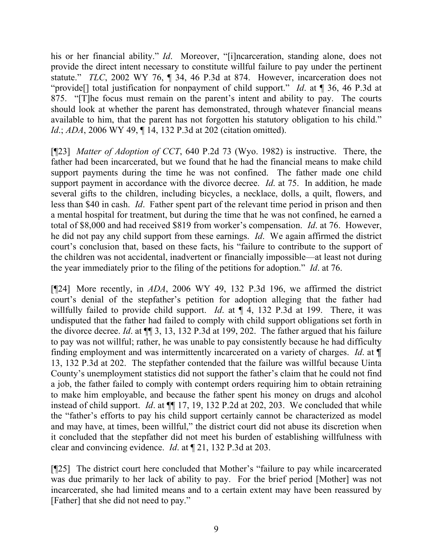his or her financial ability." *Id*. Moreover, "[i]ncarceration, standing alone, does not provide the direct intent necessary to constitute willful failure to pay under the pertinent statute." *TLC*, 2002 WY 76, ¶ 34, 46 P.3d at 874. However, incarceration does not "provide[] total justification for nonpayment of child support." *Id*. at ¶ 36, 46 P.3d at 875. "[T]he focus must remain on the parent's intent and ability to pay. The courts should look at whether the parent has demonstrated, through whatever financial means available to him, that the parent has not forgotten his statutory obligation to his child." *Id.*; *ADA*, 2006 WY 49, 14, 132 P.3d at 202 (citation omitted).

[¶23] *Matter of Adoption of CCT*, 640 P.2d 73 (Wyo. 1982) is instructive. There, the father had been incarcerated, but we found that he had the financial means to make child support payments during the time he was not confined. The father made one child support payment in accordance with the divorce decree. *Id*. at 75. In addition, he made several gifts to the children, including bicycles, a necklace, dolls, a quilt, flowers, and less than \$40 in cash. *Id*. Father spent part of the relevant time period in prison and then a mental hospital for treatment, but during the time that he was not confined, he earned a total of \$8,000 and had received \$819 from worker's compensation. *Id*. at 76. However, he did not pay any child support from these earnings. *Id*. We again affirmed the district court's conclusion that, based on these facts, his "failure to contribute to the support of the children was not accidental, inadvertent or financially impossible—at least not during the year immediately prior to the filing of the petitions for adoption." *Id*. at 76.

[¶24] More recently, in *ADA*, 2006 WY 49, 132 P.3d 196, we affirmed the district court's denial of the stepfather's petition for adoption alleging that the father had willfully failed to provide child support. *Id*. at ¶ 4, 132 P.3d at 199. There, it was undisputed that the father had failed to comply with child support obligations set forth in the divorce decree. *Id*. at ¶¶ 3, 13, 132 P.3d at 199, 202. The father argued that his failure to pay was not willful; rather, he was unable to pay consistently because he had difficulty finding employment and was intermittently incarcerated on a variety of charges. *Id*. at ¶ 13, 132 P.3d at 202. The stepfather contended that the failure was willful because Uinta County's unemployment statistics did not support the father's claim that he could not find a job, the father failed to comply with contempt orders requiring him to obtain retraining to make him employable, and because the father spent his money on drugs and alcohol instead of child support. *Id*. at ¶¶ 17, 19, 132 P.2d at 202, 203. We concluded that while the "father's efforts to pay his child support certainly cannot be characterized as model and may have, at times, been willful," the district court did not abuse its discretion when it concluded that the stepfather did not meet his burden of establishing willfulness with clear and convincing evidence. *Id*. at ¶ 21, 132 P.3d at 203.

[¶25] The district court here concluded that Mother's "failure to pay while incarcerated was due primarily to her lack of ability to pay. For the brief period [Mother] was not incarcerated, she had limited means and to a certain extent may have been reassured by [Father] that she did not need to pay."